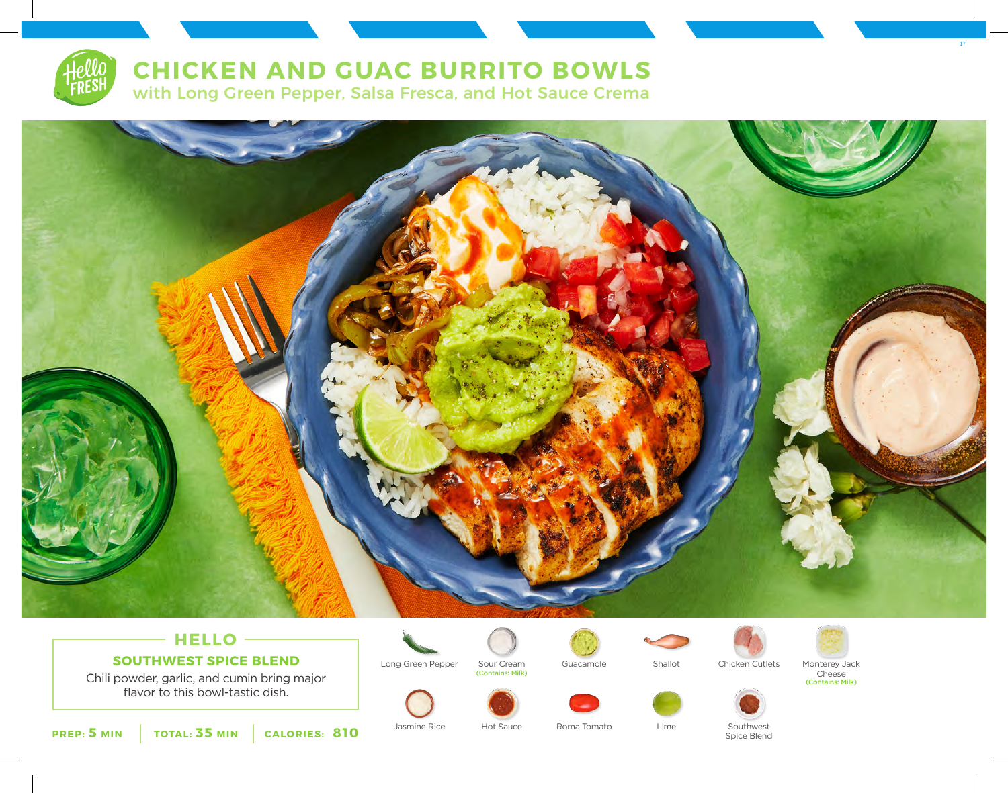

# **CHICKEN AND GUAC BURRITO BOWLS**

with Long Green Pepper, Salsa Fresca, and Hot Sauce Crema



## **HELLO SOUTHWEST SPICE BLEND**

Chili powder, garlic, and cumin bring major flavor to this bowl-tastic dish.



(Contains: Milk)





Long Green Pepper Sour Cream Guacamole Shallot Chicken Cutlets Monterey Jack Chicken Cutlets



Cheese (Contains: Milk)

17



**PREP: 5 MIN TOTAL: 35 MIN CALORIES: 810**

Jasmine Rice Hot Sauce Roma Tomato Lime Southwest

Hot Sauce

Spice Blend